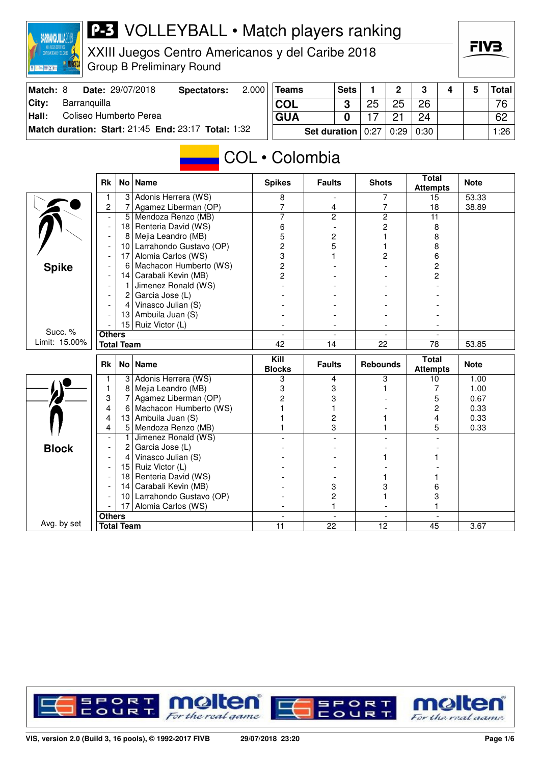

XXIII Juegos Centro Americanos y del Caribe 2018 Group B Preliminary Round

| Match: 8 |              | <b>Date: 29/07/2018</b> | Spectators:                                         | 2.000 | Teams      |                                   | <b>Sets</b> |    | $\mathbf{p}$ | າ  |  | Total |
|----------|--------------|-------------------------|-----------------------------------------------------|-------|------------|-----------------------------------|-------------|----|--------------|----|--|-------|
| City:    | Barranquilla |                         |                                                     |       | <b>COL</b> |                                   | ≏           | 25 | 25           | 26 |  | 76    |
| Hall:    |              | Coliseo Humberto Perea  |                                                     |       | <b>GUA</b> |                                   |             |    |              | 24 |  | 62    |
|          |              |                         | Match duration: Start: 21:45 End: 23:17 Total: 1:32 |       |            | Set duration   0:27   0:29   0:30 |             |    |              |    |  | 1:26  |

## COL • Colombia

|               | <b>Rk</b>                |                   | No   Name               | <b>Spikes</b>         | <b>Faults</b>      | <b>Shots</b>         | <b>Total</b><br><b>Attempts</b> | <b>Note</b> |
|---------------|--------------------------|-------------------|-------------------------|-----------------------|--------------------|----------------------|---------------------------------|-------------|
|               |                          | $\overline{3}$    | Adonis Herrera (WS)     | 8                     |                    | 7                    | 15                              | 53.33       |
|               | $\overline{2}$           | 7                 | Agamez Liberman (OP)    | $\overline{7}$        | 4                  | $\overline{7}$       | 18                              | 38.89       |
|               |                          | 5                 | Mendoza Renzo (MB)      | $\overline{7}$        | $\overline{2}$     | $\overline{2}$       | $\overline{11}$                 |             |
|               |                          | 18                | Renteria David (WS)     | 6                     |                    | 2                    | 8                               |             |
|               | $\overline{\phantom{a}}$ | 8                 | Mejia Leandro (MB)      | 5                     | 2                  |                      | 8                               |             |
|               |                          | 10                | Larrahondo Gustavo (OP) | $\overline{c}$        | 5                  |                      | 8                               |             |
|               |                          | 17                | Alomia Carlos (WS)      | 3                     |                    | 2                    | 6                               |             |
| <b>Spike</b>  |                          | 6                 | Machacon Humberto (WS)  | $\overline{c}$        |                    |                      | 2                               |             |
|               |                          | 14                | Carabali Kevin (MB)     | $\overline{2}$        |                    |                      | 2                               |             |
|               |                          | 1                 | Jimenez Ronald (WS)     |                       |                    |                      |                                 |             |
|               |                          | $\overline{2}$    | Garcia Jose (L)         |                       |                    |                      |                                 |             |
|               |                          | $\overline{4}$    | Vinasco Julian (S)      |                       |                    |                      |                                 |             |
|               |                          | 13                | Ambuila Juan (S)        |                       |                    |                      |                                 |             |
|               |                          | 15                | Ruiz Victor (L)         |                       |                    |                      |                                 |             |
| Succ. %       | <b>Others</b>            |                   |                         |                       |                    |                      |                                 |             |
| Limit: 15.00% |                          | <b>Total Team</b> |                         | 42                    | $\overline{14}$    | 22                   | $\overline{78}$                 | 53.85       |
|               |                          |                   |                         |                       |                    |                      |                                 |             |
|               | <b>Rk</b>                | No l              | <b>Name</b>             | Kill<br><b>Blocks</b> | <b>Faults</b>      | <b>Rebounds</b>      | <b>Total</b>                    | <b>Note</b> |
|               |                          | 3                 | Adonis Herrera (WS)     | 3                     | 4                  | 3                    | <b>Attempts</b><br>10           | 1.00        |
|               | 1                        | 8                 | Mejia Leandro (MB)      | 3                     | 3                  |                      | 7                               | 1.00        |
|               | 3                        | 7                 | Agamez Liberman (OP)    | $\overline{c}$        | 3                  |                      | 5                               | 0.67        |
|               | 4                        | 6                 | Machacon Humberto (WS)  |                       | 1                  |                      | 2                               | 0.33        |
|               | 4                        | 13                | Ambuila Juan (S)        |                       | $\overline{c}$     |                      | 4                               | 0.33        |
|               | 4                        | 5                 | Mendoza Renzo (MB)      |                       | 3                  |                      | 5                               | 0.33        |
|               |                          | 1                 | Jimenez Ronald (WS)     |                       | $\overline{a}$     |                      |                                 |             |
|               |                          | 2                 | Garcia Jose (L)         |                       |                    |                      |                                 |             |
| <b>Block</b>  |                          | 4                 | Vinasco Julian (S)      |                       |                    |                      |                                 |             |
|               |                          | 15                | Ruiz Victor (L)         |                       |                    |                      |                                 |             |
|               |                          | 18                | Renteria David (WS)     |                       |                    |                      |                                 |             |
|               |                          | 14                | Carabali Kevin (MB)     |                       | 3                  | 3                    | 6                               |             |
|               |                          | 10                | Larrahondo Gustavo (OP) |                       | 2                  |                      | 3                               |             |
|               |                          | 17                | Alomia Carlos (WS)      |                       | 1                  |                      |                                 |             |
| Avg. by set   | <b>Others</b>            |                   |                         | $\blacksquare$<br>11  | $\mathbf{r}$<br>22 | $\blacksquare$<br>12 | $\sim$                          |             |

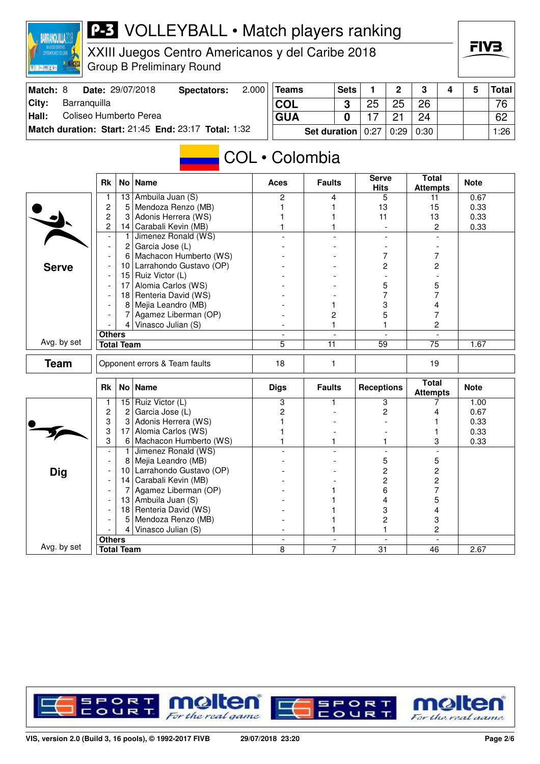

XXIII Juegos Centro Americanos y del Caribe 2018 Group B Preliminary Round

| Match: 8 |              | Date: 29/07/2018       | Spectators:                                         | 2.000 | $ T$ eams  |                       | <b>Sets</b> |    | $\Omega$ | າ    |  | Total |
|----------|--------------|------------------------|-----------------------------------------------------|-------|------------|-----------------------|-------------|----|----------|------|--|-------|
| ∣Citv:   | Barranquilla |                        |                                                     |       | <b>COL</b> |                       |             | 25 | 25       | 26   |  | 76    |
| Hall:    |              | Coliseo Humberto Perea |                                                     |       | <b>GUA</b> |                       |             |    |          | 24   |  | 62    |
|          |              |                        | Match duration: Start: 21:45 End: 23:17 Total: 1:32 |       |            | Set duration $ 0:27 $ |             |    | 0:29     | 0:30 |  | 1:26  |

### COL • Colombia

|              | <b>Rk</b>                |                   | No   Name                     | <b>Aces</b>    | <b>Faults</b>  | <b>Serve</b><br><b>Hits</b> | Total<br><b>Attempts</b>        | <b>Note</b> |
|--------------|--------------------------|-------------------|-------------------------------|----------------|----------------|-----------------------------|---------------------------------|-------------|
|              | 1                        | 13                | Ambuila Juan (S)              | $\overline{c}$ | 4              | 5                           | 11                              | 0.67        |
|              | $\overline{c}$           | 5                 | Mendoza Renzo (MB)            | 1              | 1              | 13                          | 15                              | 0.33        |
|              | 2                        | 3                 | Adonis Herrera (WS)           |                | 1              | 11                          | 13                              | 0.33        |
|              | $\overline{c}$           | 14                | Carabali Kevin (MB)           |                | 1              | $\overline{\phantom{a}}$    | 2                               | 0.33        |
|              | $\overline{\phantom{a}}$ | 1                 | Jimenez Ronald (WS)           |                | $\overline{a}$ | $\overline{a}$              | $\overline{a}$                  |             |
|              | $\overline{\phantom{a}}$ | $\overline{2}$    | Garcia Jose (L)               |                |                |                             |                                 |             |
|              |                          | 6                 | Machacon Humberto (WS)        |                |                | 7                           | 7                               |             |
| <b>Serve</b> |                          | 10 <sup>1</sup>   | Larrahondo Gustavo (OP)       |                |                | $\overline{c}$              | 2                               |             |
|              | $\overline{\phantom{a}}$ | 15                | Ruiz Victor (L)               |                |                |                             |                                 |             |
|              |                          | 17                | Alomia Carlos (WS)            |                |                | 5                           | 5                               |             |
|              |                          | 18                | Renteria David (WS)           |                |                | 7                           | 7                               |             |
|              |                          | 8                 | Mejia Leandro (MB)            |                | 1              | 3                           | 4                               |             |
|              |                          | 7                 | Agamez Liberman (OP)          |                | 2              | 5                           | 7                               |             |
|              |                          | $\vert 4 \vert$   | Vinasco Julian (S)            |                | 1              |                             | $\overline{c}$                  |             |
|              | <b>Others</b>            |                   |                               | $\blacksquare$ | $\blacksquare$ | $\blacksquare$              | $\mathbf{r}$                    |             |
| Avg. by set  |                          | <b>Total Team</b> |                               | $\overline{5}$ | 11             | $\overline{59}$             | $\overline{75}$                 | 1.67        |
| <b>Team</b>  |                          |                   | Opponent errors & Team faults | 18             | 1              |                             | 19                              |             |
|              | <b>Rk</b>                |                   | No   Name                     | <b>Digs</b>    | <b>Faults</b>  | <b>Receptions</b>           | <b>Total</b><br><b>Attempts</b> | <b>Note</b> |
|              | 1                        | 15                | Ruiz Victor (L)               | 3              | 1              | 3                           | 7                               | 1.00        |
|              | $\overline{\mathbf{c}}$  | $\overline{2}$    | Garcia Jose (L)               | 2              |                | 2                           | 4                               | 0.67        |
|              | 3                        | 3                 | Adonis Herrera (WS)           |                |                |                             |                                 | 0.33        |
|              | 3                        | 17                | Alomia Carlos (WS)            |                |                |                             |                                 | 0.33        |
|              | 3                        | 6                 | Machacon Humberto (WS)        | 1              | 1              | 1                           | 3                               | 0.33        |
|              | $\overline{\phantom{a}}$ | $\overline{1}$    | Jimenez Ronald (WS)           |                | ÷.             | $\overline{\phantom{a}}$    | $\overline{\phantom{a}}$        |             |
|              | $\overline{\phantom{a}}$ | 8                 | Mejia Leandro (MB)            |                |                | 5                           | 5                               |             |
| <b>Dig</b>   |                          | 10 <sup>1</sup>   | Larrahondo Gustavo (OP)       |                |                | 2                           | $\overline{c}$                  |             |
|              | $\overline{\phantom{a}}$ | 14                | Carabali Kevin (MB)           |                |                | $\overline{c}$              | 2                               |             |
|              | $\overline{\phantom{a}}$ | 7                 | Agamez Liberman (OP)          |                |                | 6                           | 7                               |             |
|              |                          | 13                | Ambuila Juan (S)              |                |                | 4                           | 5                               |             |
|              |                          | 18                | Renteria David (WS)           |                |                | 3                           | 4                               |             |
|              |                          | 5                 | Mendoza Renzo (MB)            |                |                | 2                           | 3                               |             |
|              |                          | $\vert$           | Vinasco Julian (S)            |                | 1              | 1                           | 2                               |             |
|              | <b>Others</b>            |                   |                               |                | $\blacksquare$ |                             |                                 |             |
| Avg. by set  |                          | <b>Total Team</b> |                               | 8              | 7              | $\overline{31}$             | 46                              | 2.67        |

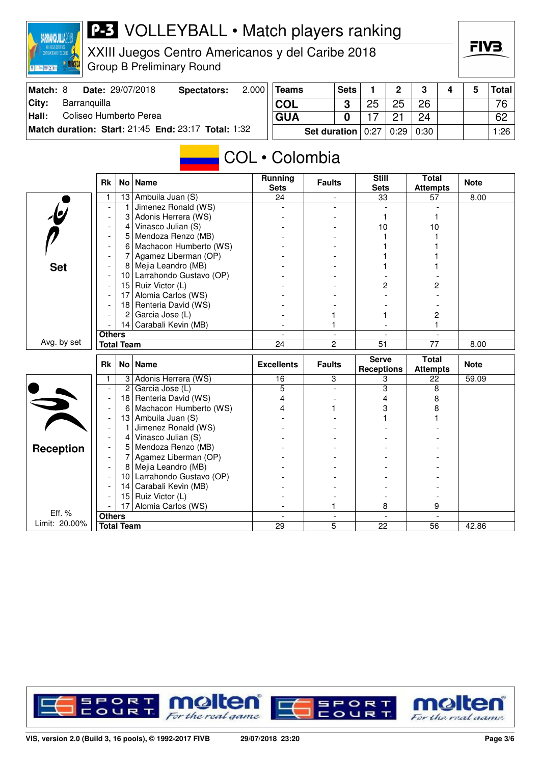

XXIII Juegos Centro Americanos y del Caribe 2018 Group B Preliminary Round

| Match: 8 |              | Date: 29/07/2018       | Spectators:                                         | 2.000 | <b>Teams</b> | <b>Sets</b>                       |    | $\Omega$ | $\mathbf{r}$ |  | <b>Total</b>    |
|----------|--------------|------------------------|-----------------------------------------------------|-------|--------------|-----------------------------------|----|----------|--------------|--|-----------------|
| City:    | Barranquilla |                        |                                                     |       | 'COL         |                                   | 25 | 25       | 26           |  | 76 <sub>1</sub> |
| Hall:    |              | Coliseo Humberto Perea |                                                     |       | <b>GUA</b>   |                                   |    |          | 24           |  | 62              |
|          |              |                        | Match duration: Start: 21:45 End: 23:17 Total: 1:32 |       |              | Set duration   0:27   0:29   0:30 |    |          |              |  | 1:26            |

# COL • Colombia

|                         | <b>Rk</b>                |        | No Name                                | Running<br><b>Sets</b>   | <b>Faults</b>            | <b>Still</b><br><b>Sets</b> | <b>Total</b><br><b>Attempts</b> | <b>Note</b> |
|-------------------------|--------------------------|--------|----------------------------------------|--------------------------|--------------------------|-----------------------------|---------------------------------|-------------|
|                         | 1                        | 13     | Ambuila Juan (S)                       | 24                       |                          | 33                          | 57                              | 8.00        |
|                         |                          | 1      | Jimenez Ronald (WS)                    |                          |                          |                             |                                 |             |
| $\overline{\mathbf{e}}$ |                          | 3      | Adonis Herrera (WS)                    |                          |                          |                             |                                 |             |
|                         |                          | 4      | Vinasco Julian (S)                     |                          |                          | 10                          | 10                              |             |
|                         | $\overline{\phantom{a}}$ | 5      | Mendoza Renzo (MB)                     |                          |                          |                             |                                 |             |
|                         |                          | 6      | Machacon Humberto (WS)                 |                          |                          |                             |                                 |             |
|                         |                          | 7      | Agamez Liberman (OP)                   |                          |                          |                             |                                 |             |
| <b>Set</b>              |                          | 8      | Mejia Leandro (MB)                     |                          |                          |                             |                                 |             |
|                         | ٠                        | 10     | Larrahondo Gustavo (OP)                |                          |                          |                             |                                 |             |
|                         | $\overline{a}$           | 15     | Ruiz Victor (L)                        |                          |                          | 2                           | 2                               |             |
|                         | $\overline{\phantom{a}}$ | 17     | Alomia Carlos (WS)                     |                          |                          |                             |                                 |             |
|                         | ٠                        | 18     | Renteria David (WS)                    |                          |                          |                             |                                 |             |
|                         |                          | 2      | Garcia Jose (L)                        |                          |                          |                             | 2                               |             |
|                         |                          |        | 14 Carabali Kevin (MB)                 |                          |                          |                             | 1                               |             |
|                         | <b>Others</b>            |        |                                        | $\overline{\phantom{a}}$ | $\overline{\phantom{a}}$ | $\overline{\phantom{a}}$    |                                 |             |
| Avg. by set             | <b>Total Team</b>        |        |                                        | 24                       | $\overline{c}$           | $\overline{51}$             | $\overline{77}$                 | 8.00        |
|                         |                          |        |                                        |                          |                          |                             |                                 |             |
|                         | <b>Rk</b>                |        | No Name                                | <b>Excellents</b>        | <b>Faults</b>            | <b>Serve</b>                | <b>Total</b>                    | <b>Note</b> |
|                         |                          |        |                                        |                          |                          | <b>Receptions</b>           | <b>Attempts</b>                 |             |
|                         | 1                        | 3      | Adonis Herrera (WS)                    | 16                       | 3                        | 3                           | 22                              | 59.09       |
|                         | $\overline{\phantom{a}}$ | 2      | Garcia Jose (L)                        | 5                        | $\overline{a}$           | $\overline{\mathbf{3}}$     | 8                               |             |
|                         |                          | 18     | Renteria David (WS)                    | 4                        |                          | 4                           | 8                               |             |
|                         | $\overline{\phantom{a}}$ | 6      | Machacon Humberto (WS)                 | 4                        |                          | 3                           | 8                               |             |
|                         | $\overline{\phantom{a}}$ | 13     | Ambuila Juan (S)                       |                          |                          |                             |                                 |             |
|                         |                          | 1      | Jimenez Ronald (WS)                    |                          |                          |                             |                                 |             |
|                         |                          | 4      | Vinasco Julian (S)                     |                          |                          |                             |                                 |             |
| <b>Reception</b>        |                          | 5<br>7 | Mendoza Renzo (MB)                     |                          |                          |                             |                                 |             |
|                         | $\overline{\phantom{a}}$ | 8      | Agamez Liberman (OP)                   |                          |                          |                             |                                 |             |
|                         |                          | 10     | Mejia Leandro (MB)                     |                          |                          |                             |                                 |             |
|                         |                          | 14     | Larrahondo Gustavo (OP)                |                          |                          |                             |                                 |             |
|                         |                          | 15     | Carabali Kevin (MB)<br>Ruiz Victor (L) |                          |                          |                             |                                 |             |
|                         |                          | 17     | Alomia Carlos (WS)                     |                          | 1                        | 8                           | 9                               |             |
| Eff. %<br>Limit: 20.00% | <b>Others</b>            |        |                                        |                          |                          | $\overline{22}$             |                                 |             |

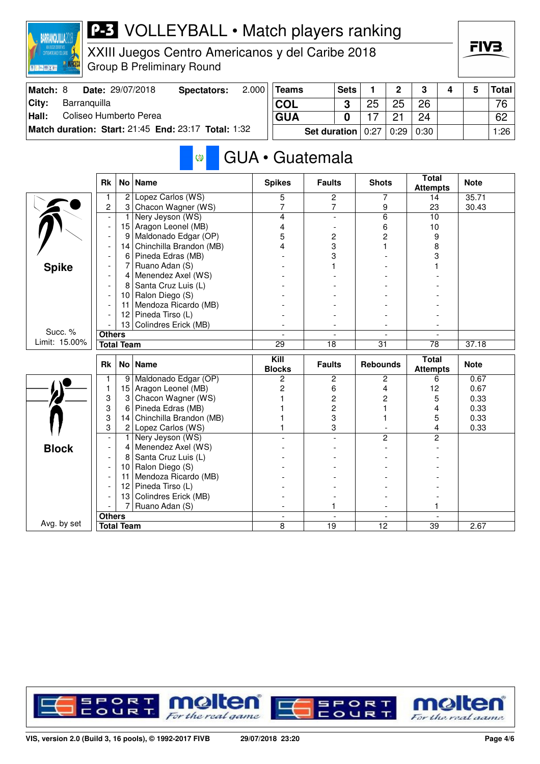

XXIII Juegos Centro Americanos y del Caribe 2018 Group B Preliminary Round

| Match: 8 |              | Date: 29/07/2018       | Spectators:                                         | $2.000$ Teams | <b>Sets</b>                                |    | $\overline{2}$ | $\mathbf{R}$ | 4 | Total |
|----------|--------------|------------------------|-----------------------------------------------------|---------------|--------------------------------------------|----|----------------|--------------|---|-------|
| City:    | Barranquilla |                        |                                                     | <b>COL</b>    | C                                          | 25 | 25             | 26           |   | 76    |
| Hall:    |              | Coliseo Humberto Perea |                                                     | <b>GUA</b>    |                                            |    |                | 24           |   | 62    |
|          |              |                        | Match duration: Start: 21:45 End: 23:17 Total: 1:32 |               | <b>Set duration</b> $0:27   0:29   0:30  $ |    |                |              |   | 1:26  |

#### GUA • Guatemala Ø

|               | <b>Rk</b>      |                   | No   Name               | <b>Spikes</b>                       | <b>Faults</b>                     | <b>Shots</b>         | <b>Total</b><br><b>Attempts</b> | <b>Note</b> |
|---------------|----------------|-------------------|-------------------------|-------------------------------------|-----------------------------------|----------------------|---------------------------------|-------------|
|               |                | $\overline{2}$    | Lopez Carlos (WS)       | 5                                   | 2                                 | 7                    | 14                              | 35.71       |
|               | $\overline{c}$ | 3                 | Chacon Wagner (WS)      | 7                                   | $\overline{7}$                    | 9                    | 23                              | 30.43       |
|               |                | 1                 | Nery Jeyson (WS)        | 4                                   |                                   | 6                    | 10                              |             |
|               |                | 15                | Aragon Leonel (MB)      | 4                                   |                                   | 6                    | 10                              |             |
|               |                | 9                 | Maldonado Edgar (OP)    | 5                                   | 2                                 | 2                    | 9                               |             |
|               |                | 14                | Chinchilla Brandon (MB) | 4                                   | 3                                 |                      | 8                               |             |
|               |                | 6                 | Pineda Edras (MB)       |                                     | 3                                 |                      | 3                               |             |
| <b>Spike</b>  |                | 7                 | Ruano Adan (S)          |                                     | 1                                 |                      |                                 |             |
|               |                | $\overline{4}$    | Menendez Axel (WS)      |                                     |                                   |                      |                                 |             |
|               |                | 8                 | Santa Cruz Luis (L)     |                                     |                                   |                      |                                 |             |
|               |                | 10                | Ralon Diego (S)         |                                     |                                   |                      |                                 |             |
|               |                | 11                | Mendoza Ricardo (MB)    |                                     |                                   |                      |                                 |             |
|               |                | 12                | Pineda Tirso (L)        |                                     |                                   |                      |                                 |             |
|               |                | 13                | Colindres Erick (MB)    |                                     |                                   |                      |                                 |             |
| Succ. %       | <b>Others</b>  |                   |                         |                                     |                                   |                      |                                 |             |
| Limit: 15.00% |                | <b>Total Team</b> |                         | 29                                  | 18                                | 31                   | 78                              | 37.18       |
|               |                |                   |                         |                                     |                                   |                      |                                 |             |
|               | <b>Rk</b>      |                   | No Name                 | $\overline{K}$ ill<br><b>Blocks</b> | <b>Faults</b>                     | <b>Rebounds</b>      | <b>Total</b>                    | <b>Note</b> |
|               |                | 9                 | Maldonado Edgar (OP)    | $\overline{c}$                      | 2                                 | 2                    | <b>Attempts</b><br>6            | 0.67        |
|               | 1              | 15                | Aragon Leonel (MB)      | 2                                   | 6                                 | 4                    | 12                              | 0.67        |
|               | 3              | 3                 | Chacon Wagner (WS)      |                                     | $\overline{c}$                    | 2                    | 5                               | 0.33        |
|               | 3              | 6                 | Pineda Edras (MB)       |                                     | $\overline{c}$                    |                      | 4                               | 0.33        |
|               | 3              | 14                | Chinchilla Brandon (MB) |                                     | 3                                 |                      | 5                               | 0.33        |
|               | 3              | 2 <sup>1</sup>    | Lopez Carlos (WS)       |                                     | 3                                 |                      | 4                               | 0.33        |
|               |                | 1                 | Nery Jeyson (WS)        |                                     |                                   | $\overline{c}$       | 2                               |             |
|               |                | 4                 | Menendez Axel (WS)      |                                     |                                   |                      |                                 |             |
| <b>Block</b>  |                | 8                 | Santa Cruz Luis (L)     |                                     |                                   |                      |                                 |             |
|               |                | 10                | Ralon Diego (S)         |                                     |                                   |                      |                                 |             |
|               |                | 11                | Mendoza Ricardo (MB)    |                                     |                                   |                      |                                 |             |
|               |                | 12                | Pineda Tirso (L)        |                                     |                                   |                      |                                 |             |
|               |                | 13                | Colindres Erick (MB)    |                                     |                                   |                      |                                 |             |
|               |                | 7                 | Ruano Adan (S)          |                                     | 1                                 |                      |                                 |             |
| Avg. by set   | <b>Others</b>  |                   |                         | $\overline{a}$                      | $\overline{a}$<br>$\overline{19}$ | $\overline{a}$<br>12 |                                 |             |

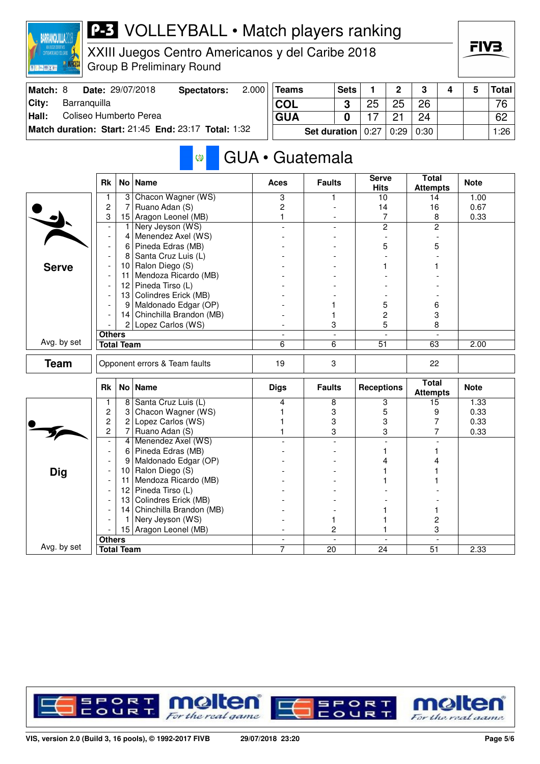

XXIII Juegos Centro Americanos y del Caribe 2018 Group B Preliminary Round

| Match: 8 | <b>Date: 29/07/2018</b>                             | Spectators: | 2.000 | Teams                             | <b>Sets</b> |    | $\overline{2}$ | $\mathbf{r}$ |  | Total |
|----------|-----------------------------------------------------|-------------|-------|-----------------------------------|-------------|----|----------------|--------------|--|-------|
| City:    | Barranquilla                                        |             |       | <b>COL</b>                        | C           | 25 | クら             | 26           |  | 76    |
| Hall:    | Coliseo Humberto Perea                              |             |       | <b>GUA</b>                        |             |    |                | 24           |  | 62    |
|          | Match duration: Start: 21:45 End: 23:17 Total: 1:32 |             |       | Set duration   0:27   0:29   0:30 |             |    |                |              |  | 1:26  |

#### GUA • Guatemala Ø

|              | <b>Rk</b>                |                   | No   Name                     | <b>Aces</b>                   | <b>Faults</b>            | <b>Serve</b><br><b>Hits</b> | <b>Total</b><br><b>Attempts</b> | <b>Note</b> |
|--------------|--------------------------|-------------------|-------------------------------|-------------------------------|--------------------------|-----------------------------|---------------------------------|-------------|
|              | 1                        | 3                 | Chacon Wagner (WS)            | 3                             | 1                        | 10                          | 14                              | 1.00        |
|              | $\overline{c}$           | 7                 | Ruano Adan (S)                | $\overline{c}$                |                          | 14                          | 16                              | 0.67        |
|              | 3                        | 15                | Aragon Leonel (MB)            | 1                             |                          | 7                           | 8                               | 0.33        |
|              | $\overline{\phantom{a}}$ | 1                 | Nery Jeyson (WS)              |                               |                          | $\overline{2}$              | $\overline{2}$                  |             |
|              | $\overline{\phantom{a}}$ | 4                 | Menendez Axel (WS)            |                               |                          |                             |                                 |             |
|              | $\blacksquare$           | 6                 | Pineda Edras (MB)             |                               |                          | 5                           | 5                               |             |
|              |                          | 8                 | Santa Cruz Luis (L)           |                               |                          |                             |                                 |             |
| <b>Serve</b> |                          |                   | 10 Ralon Diego (S)            |                               |                          |                             |                                 |             |
|              |                          | 11                | Mendoza Ricardo (MB)          |                               |                          |                             |                                 |             |
|              |                          | 12                | Pineda Tirso (L)              |                               |                          |                             |                                 |             |
|              |                          |                   | 13 Colindres Erick (MB)       |                               |                          |                             |                                 |             |
|              |                          | 9                 | Maldonado Edgar (OP)          |                               |                          | 5                           | 6                               |             |
|              |                          |                   | 14 Chinchilla Brandon (MB)    |                               | 1                        | 2                           | 3                               |             |
|              |                          |                   | 2 Lopez Carlos (WS)           |                               | 3                        | 5                           | 8                               |             |
|              | <b>Others</b>            |                   |                               | $\blacksquare$                | $\overline{\phantom{a}}$ | $\overline{a}$              | $\blacksquare$                  |             |
| Avg. by set  |                          | <b>Total Team</b> |                               | 6                             | 6                        | 51                          | 63                              | 2.00        |
| <b>Team</b>  |                          |                   | Opponent errors & Team faults | 19                            | 3                        |                             | 22                              |             |
|              |                          |                   |                               |                               |                          |                             |                                 |             |
|              |                          |                   |                               |                               |                          |                             |                                 |             |
|              | <b>Rk</b>                |                   | No Name                       | <b>Digs</b>                   | <b>Faults</b>            | <b>Receptions</b>           | <b>Total</b><br><b>Attempts</b> | <b>Note</b> |
|              | 1                        | 8                 | Santa Cruz Luis (L)           | 4                             | 8                        | 3                           | 15                              | 1.33        |
|              | 2                        | 3                 | Chacon Wagner (WS)            |                               | 3                        | 5                           | 9                               | 0.33        |
|              | 2                        | $\overline{c}$    | Lopez Carlos (WS)             |                               | 3                        | 3                           | 7                               | 0.33        |
|              | $\overline{2}$           | 7                 | Ruano Adan (S)                |                               | 3                        | 3                           | 7                               | 0.33        |
|              | $\overline{\phantom{a}}$ | 4                 | Menendez Axel (WS)            |                               |                          | $\overline{a}$              |                                 |             |
|              | $\overline{\phantom{a}}$ | 6                 | Pineda Edras (MB)             |                               |                          |                             |                                 |             |
|              |                          | 9                 | Maldonado Edgar (OP)          |                               |                          | 4                           |                                 |             |
|              |                          | 10                | Ralon Diego (S)               |                               |                          |                             |                                 |             |
| <b>Dig</b>   | $\overline{\phantom{a}}$ | 11                | Mendoza Ricardo (MB)          |                               |                          |                             |                                 |             |
|              |                          | 12                | Pineda Tirso (L)              |                               |                          |                             |                                 |             |
|              |                          | 13                | Colindres Erick (MB)          |                               |                          |                             |                                 |             |
|              |                          | 14                | Chinchilla Brandon (MB)       |                               |                          |                             |                                 |             |
|              |                          | 1                 | Nery Jeyson (WS)              |                               | 1                        |                             | 2                               |             |
|              |                          |                   | 15 Aragon Leonel (MB)         |                               | 2                        |                             | 3                               |             |
| Avg. by set  | <b>Others</b>            | <b>Total Team</b> |                               | $\overline{\phantom{a}}$<br>7 | $\overline{a}$<br>20     | $\blacksquare$<br>24        | 51                              | 2.33        |